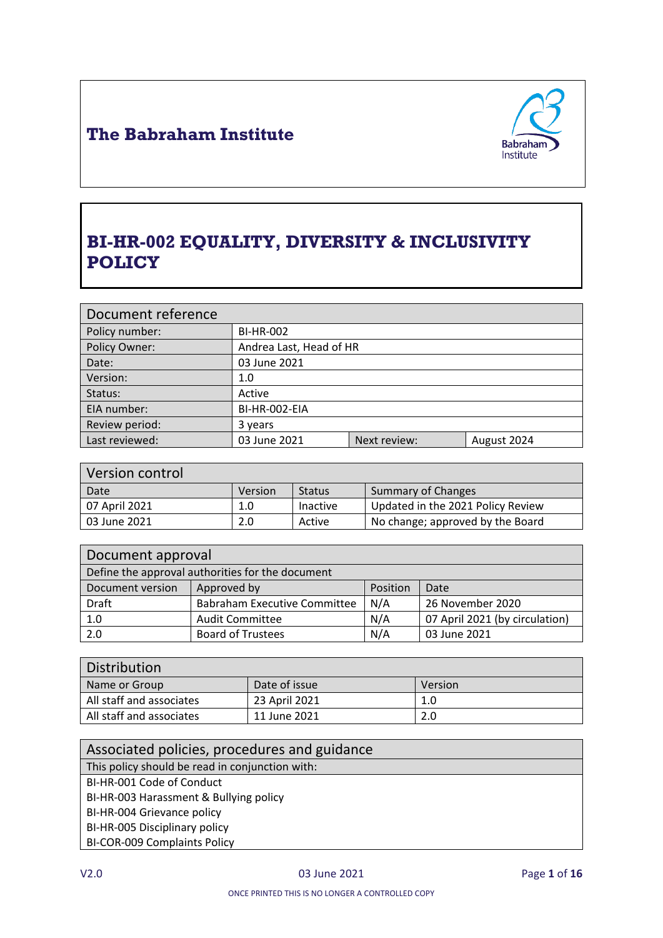

# **BI-HR-002 EQUALITY, DIVERSITY & INCLUSIVITY POLICY**

| Document reference |                         |              |             |
|--------------------|-------------------------|--------------|-------------|
| Policy number:     | <b>BI-HR-002</b>        |              |             |
| Policy Owner:      | Andrea Last, Head of HR |              |             |
| Date:              | 03 June 2021            |              |             |
| Version:           | 1.0                     |              |             |
| Status:            | Active                  |              |             |
| EIA number:        | BI-HR-002-EIA           |              |             |
| Review period:     | 3 years                 |              |             |
| Last reviewed:     | 03 June 2021            | Next review: | August 2024 |

| Version control |         |                 |                                   |
|-----------------|---------|-----------------|-----------------------------------|
| Date            | Version | <b>Status</b>   | <b>Summary of Changes</b>         |
| 07 April 2021   | 1.0     | <b>Inactive</b> | Updated in the 2021 Policy Review |
| 03 June 2021    | 2.0     | Active          | No change; approved by the Board  |

| Document approval                                |                                     |          |                                |
|--------------------------------------------------|-------------------------------------|----------|--------------------------------|
| Define the approval authorities for the document |                                     |          |                                |
| Document version                                 | Approved by                         | Position | Date                           |
| Draft                                            | <b>Babraham Executive Committee</b> | N/A      | 26 November 2020               |
| 1.0                                              | <b>Audit Committee</b>              | N/A      | 07 April 2021 (by circulation) |
| 2.0                                              | <b>Board of Trustees</b>            | N/A      | 03 June 2021                   |

| Distribution             |               |         |
|--------------------------|---------------|---------|
| Name or Group            | Date of issue | Version |
| All staff and associates | 23 April 2021 | 1.0     |
| All staff and associates | 11 June 2021  | 2.0     |

| Associated policies, procedures and guidance    |
|-------------------------------------------------|
| This policy should be read in conjunction with: |
| BI-HR-001 Code of Conduct                       |
| BI-HR-003 Harassment & Bullying policy          |
| BI-HR-004 Grievance policy                      |
| BI-HR-005 Disciplinary policy                   |
| <b>BI-COR-009 Complaints Policy</b>             |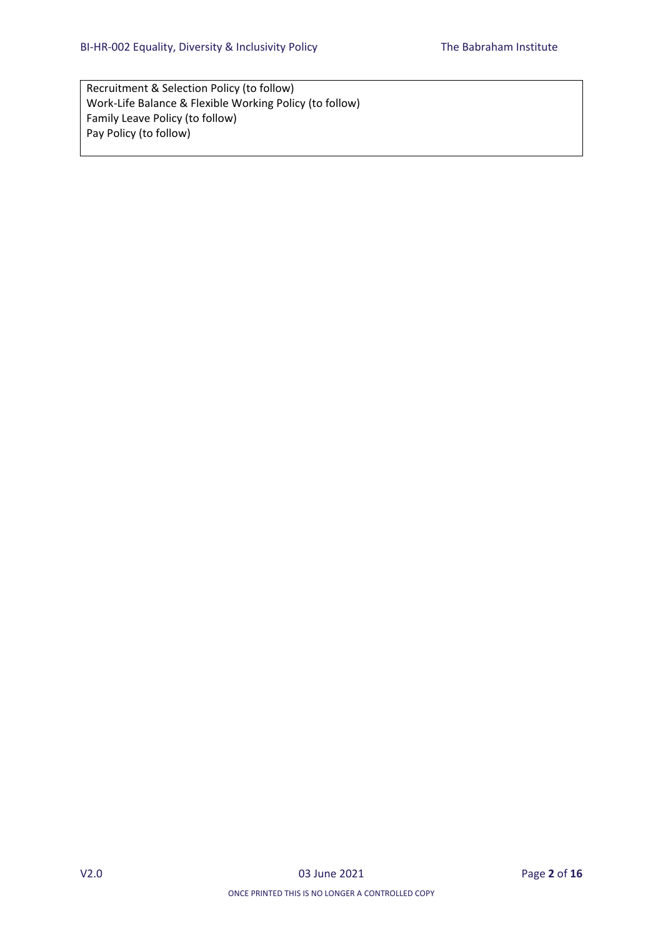Recruitment & Selection Policy (to follow) Work-Life Balance & Flexible Working Policy (to follow) Family Leave Policy (to follow) Pay Policy (to follow)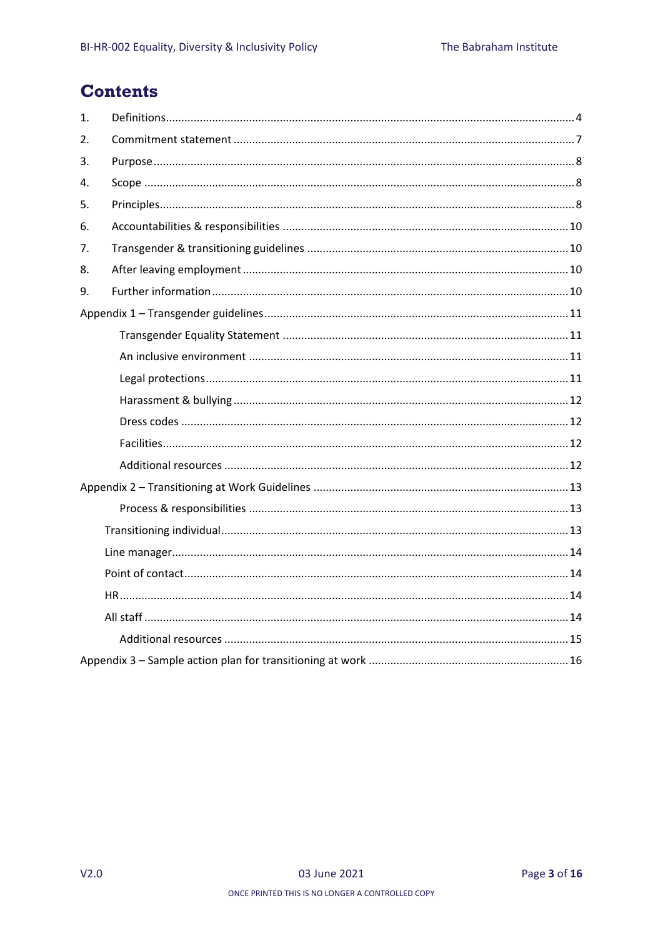## **Contents**

| 1.            |  |
|---------------|--|
| $\mathcal{L}$ |  |
| 3.            |  |
| 4.            |  |
| 5.            |  |
| 6.            |  |
| 7.            |  |
| 8.            |  |
| 9.            |  |
|               |  |
|               |  |
|               |  |
|               |  |
|               |  |
|               |  |
|               |  |
|               |  |
|               |  |
|               |  |
|               |  |
|               |  |
|               |  |
|               |  |
|               |  |
|               |  |
|               |  |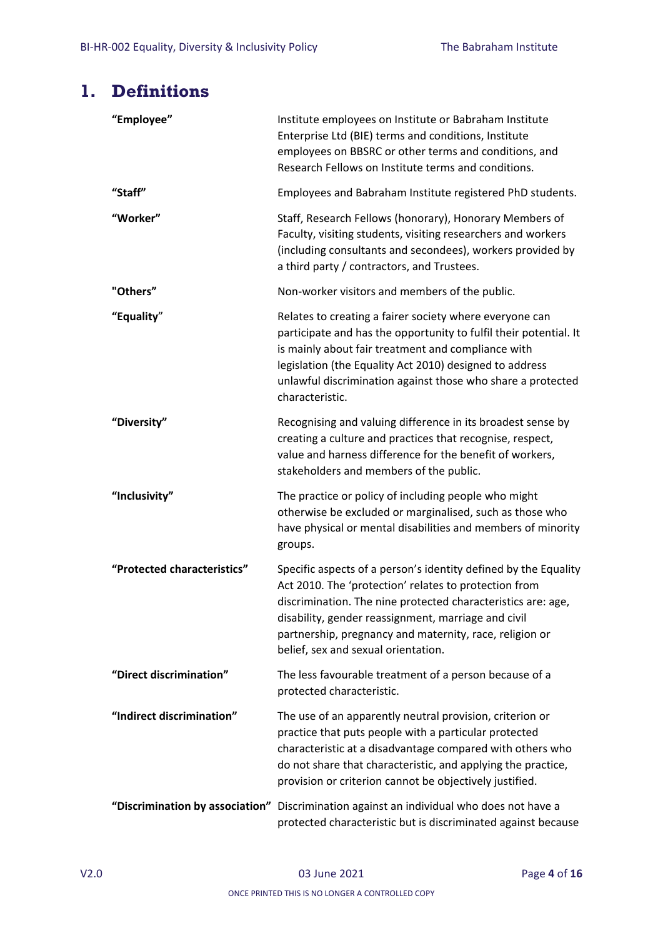## <span id="page-3-0"></span>**1. Definitions**

| "Employee"                  | Institute employees on Institute or Babraham Institute<br>Enterprise Ltd (BIE) terms and conditions, Institute<br>employees on BBSRC or other terms and conditions, and<br>Research Fellows on Institute terms and conditions.                                                                                                                    |
|-----------------------------|---------------------------------------------------------------------------------------------------------------------------------------------------------------------------------------------------------------------------------------------------------------------------------------------------------------------------------------------------|
| "Staff"                     | Employees and Babraham Institute registered PhD students.                                                                                                                                                                                                                                                                                         |
| "Worker"                    | Staff, Research Fellows (honorary), Honorary Members of<br>Faculty, visiting students, visiting researchers and workers<br>(including consultants and secondees), workers provided by<br>a third party / contractors, and Trustees.                                                                                                               |
| "Others"                    | Non-worker visitors and members of the public.                                                                                                                                                                                                                                                                                                    |
| "Equality"                  | Relates to creating a fairer society where everyone can<br>participate and has the opportunity to fulfil their potential. It<br>is mainly about fair treatment and compliance with<br>legislation (the Equality Act 2010) designed to address<br>unlawful discrimination against those who share a protected<br>characteristic.                   |
| "Diversity"                 | Recognising and valuing difference in its broadest sense by<br>creating a culture and practices that recognise, respect,<br>value and harness difference for the benefit of workers,<br>stakeholders and members of the public.                                                                                                                   |
| "Inclusivity"               | The practice or policy of including people who might<br>otherwise be excluded or marginalised, such as those who<br>have physical or mental disabilities and members of minority<br>groups.                                                                                                                                                       |
| "Protected characteristics" | Specific aspects of a person's identity defined by the Equality<br>Act 2010. The 'protection' relates to protection from<br>discrimination. The nine protected characteristics are: age,<br>disability, gender reassignment, marriage and civil<br>partnership, pregnancy and maternity, race, religion or<br>belief, sex and sexual orientation. |
| "Direct discrimination"     | The less favourable treatment of a person because of a<br>protected characteristic.                                                                                                                                                                                                                                                               |
| "Indirect discrimination"   | The use of an apparently neutral provision, criterion or<br>practice that puts people with a particular protected<br>characteristic at a disadvantage compared with others who<br>do not share that characteristic, and applying the practice,<br>provision or criterion cannot be objectively justified.                                         |
|                             | "Discrimination by association" Discrimination against an individual who does not have a<br>protected characteristic but is discriminated against because                                                                                                                                                                                         |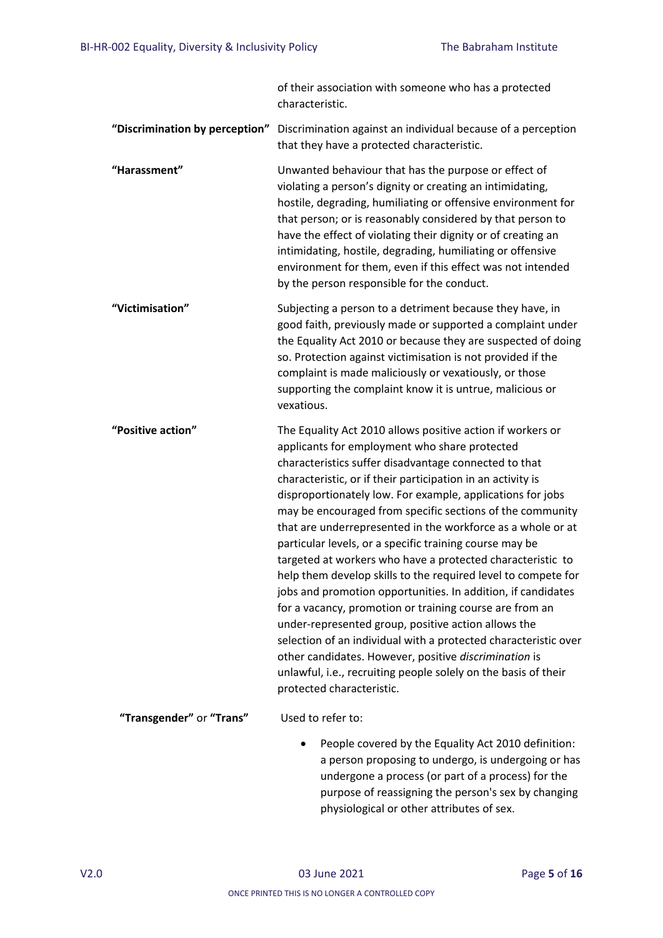of their association with someone who has a protected characteristic. **"Discrimination by perception"** Discrimination against an individual because of a perception that they have a protected characteristic. **"Harassment"** Unwanted behaviour that has the purpose or effect of violating a person's dignity or creating an intimidating, hostile, degrading, humiliating or offensive environment for that person; or is reasonably considered by that person to have the effect of violating their dignity or of creating an intimidating, hostile, degrading, humiliating or offensive environment for them, even if this effect was not intended by the person responsible for the conduct. **"Victimisation"** Subjecting a person to a detriment because they have, in good faith, previously made or supported a complaint under the Equality Act 2010 or because they are suspected of doing so. Protection against victimisation is not provided if the complaint is made maliciously or vexatiously, or those supporting the complaint know it is untrue, malicious or vexatious. **"Positive action"** The Equality Act 2010 allows positive action if workers or applicants for employment who share protected characteristics suffer disadvantage connected to that characteristic, or if their participation in an activity is disproportionately low. For example, applications for jobs may be encouraged from specific sections of the community that are underrepresented in the workforce as a whole or at particular levels, or a specific training course may be targeted at workers who have a protected characteristic to help them develop skills to the required level to compete for jobs and promotion opportunities. In addition, if candidates for a vacancy, promotion or training course are from an under-represented group, positive action allows the selection of an individual with a protected characteristic over other candidates. However, positive *discrimination* is unlawful, i.e., recruiting people solely on the basis of their protected characteristic. **"Transgender"** or **"Trans"** Used to refer to: People covered by the Equality Act 2010 definition: a person proposing to undergo, is undergoing or has undergone a process (or part of a process) for the purpose of reassigning the person's sex by changing physiological or other attributes of sex.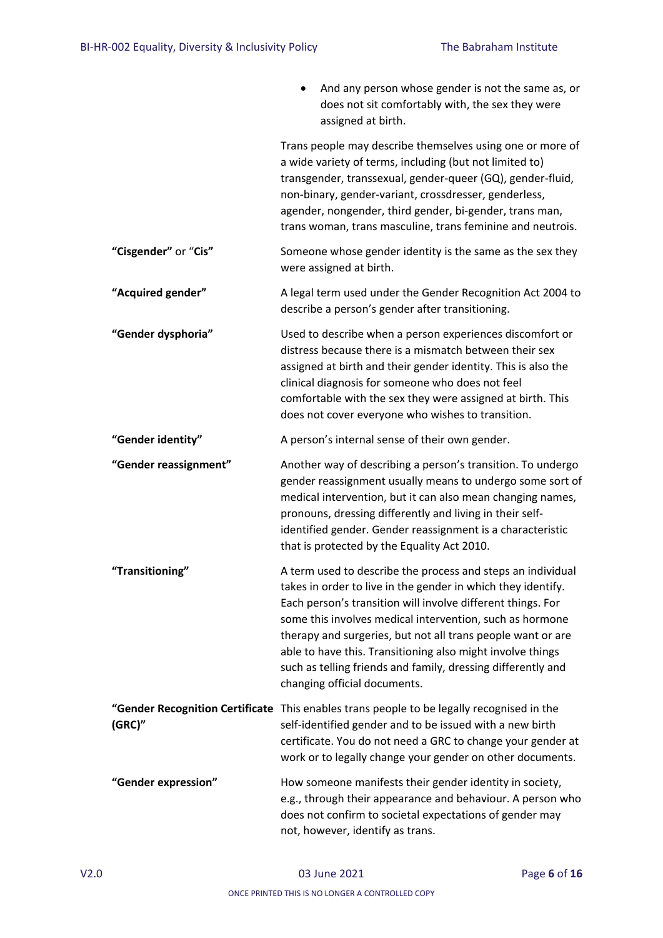|                       | And any person whose gender is not the same as, or<br>does not sit comfortably with, the sex they were<br>assigned at birth.                                                                                                                                                                                                                                                                                                                                                        |
|-----------------------|-------------------------------------------------------------------------------------------------------------------------------------------------------------------------------------------------------------------------------------------------------------------------------------------------------------------------------------------------------------------------------------------------------------------------------------------------------------------------------------|
|                       | Trans people may describe themselves using one or more of<br>a wide variety of terms, including (but not limited to)<br>transgender, transsexual, gender-queer (GQ), gender-fluid,<br>non-binary, gender-variant, crossdresser, genderless,<br>agender, nongender, third gender, bi-gender, trans man,<br>trans woman, trans masculine, trans feminine and neutrois.                                                                                                                |
| "Cisgender" or "Cis"  | Someone whose gender identity is the same as the sex they<br>were assigned at birth.                                                                                                                                                                                                                                                                                                                                                                                                |
| "Acquired gender"     | A legal term used under the Gender Recognition Act 2004 to<br>describe a person's gender after transitioning.                                                                                                                                                                                                                                                                                                                                                                       |
| "Gender dysphoria"    | Used to describe when a person experiences discomfort or<br>distress because there is a mismatch between their sex<br>assigned at birth and their gender identity. This is also the<br>clinical diagnosis for someone who does not feel<br>comfortable with the sex they were assigned at birth. This<br>does not cover everyone who wishes to transition.                                                                                                                          |
| "Gender identity"     | A person's internal sense of their own gender.                                                                                                                                                                                                                                                                                                                                                                                                                                      |
| "Gender reassignment" | Another way of describing a person's transition. To undergo<br>gender reassignment usually means to undergo some sort of<br>medical intervention, but it can also mean changing names,<br>pronouns, dressing differently and living in their self-<br>identified gender. Gender reassignment is a characteristic<br>that is protected by the Equality Act 2010.                                                                                                                     |
| "Transitioning"       | A term used to describe the process and steps an individual<br>takes in order to live in the gender in which they identify.<br>Each person's transition will involve different things. For<br>some this involves medical intervention, such as hormone<br>therapy and surgeries, but not all trans people want or are<br>able to have this. Transitioning also might involve things<br>such as telling friends and family, dressing differently and<br>changing official documents. |
| (GRC)''               | "Gender Recognition Certificate This enables trans people to be legally recognised in the<br>self-identified gender and to be issued with a new birth<br>certificate. You do not need a GRC to change your gender at<br>work or to legally change your gender on other documents.                                                                                                                                                                                                   |
| "Gender expression"   | How someone manifests their gender identity in society,<br>e.g., through their appearance and behaviour. A person who<br>does not confirm to societal expectations of gender may<br>not, however, identify as trans.                                                                                                                                                                                                                                                                |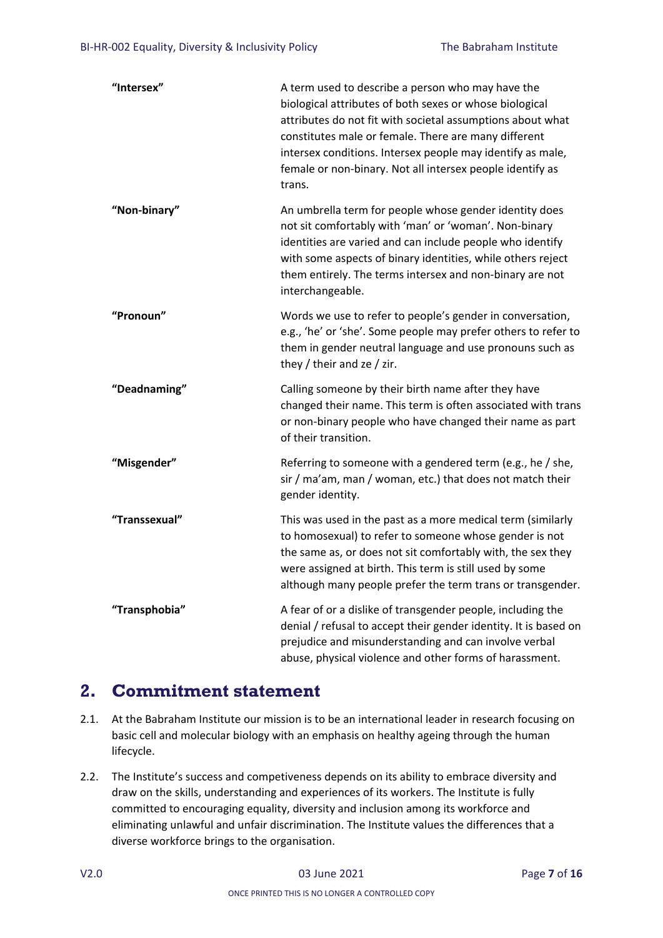| "Intersex"    | A term used to describe a person who may have the<br>biological attributes of both sexes or whose biological<br>attributes do not fit with societal assumptions about what<br>constitutes male or female. There are many different<br>intersex conditions. Intersex people may identify as male,<br>female or non-binary. Not all intersex people identify as<br>trans. |
|---------------|-------------------------------------------------------------------------------------------------------------------------------------------------------------------------------------------------------------------------------------------------------------------------------------------------------------------------------------------------------------------------|
| "Non-binary"  | An umbrella term for people whose gender identity does<br>not sit comfortably with 'man' or 'woman'. Non-binary<br>identities are varied and can include people who identify<br>with some aspects of binary identities, while others reject<br>them entirely. The terms intersex and non-binary are not<br>interchangeable.                                             |
| "Pronoun"     | Words we use to refer to people's gender in conversation,<br>e.g., 'he' or 'she'. Some people may prefer others to refer to<br>them in gender neutral language and use pronouns such as<br>they / their and ze / zir.                                                                                                                                                   |
| "Deadnaming"  | Calling someone by their birth name after they have<br>changed their name. This term is often associated with trans<br>or non-binary people who have changed their name as part<br>of their transition.                                                                                                                                                                 |
| "Misgender"   | Referring to someone with a gendered term (e.g., he / she,<br>sir / ma'am, man / woman, etc.) that does not match their<br>gender identity.                                                                                                                                                                                                                             |
| "Transsexual" | This was used in the past as a more medical term (similarly<br>to homosexual) to refer to someone whose gender is not<br>the same as, or does not sit comfortably with, the sex they<br>were assigned at birth. This term is still used by some<br>although many people prefer the term trans or transgender.                                                           |
| "Transphobia" | A fear of or a dislike of transgender people, including the<br>denial / refusal to accept their gender identity. It is based on<br>prejudice and misunderstanding and can involve verbal<br>abuse, physical violence and other forms of harassment.                                                                                                                     |

## <span id="page-6-0"></span>**2. Commitment statement**

- 2.1. At the Babraham Institute our mission is to be an international leader in research focusing on basic cell and molecular biology with an emphasis on healthy ageing through the human lifecycle.
- 2.2. The Institute's success and competiveness depends on its ability to embrace diversity and draw on the skills, understanding and experiences of its workers. The Institute is fully committed to encouraging equality, diversity and inclusion among its workforce and eliminating unlawful and unfair discrimination. The Institute values the differences that a diverse workforce brings to the organisation.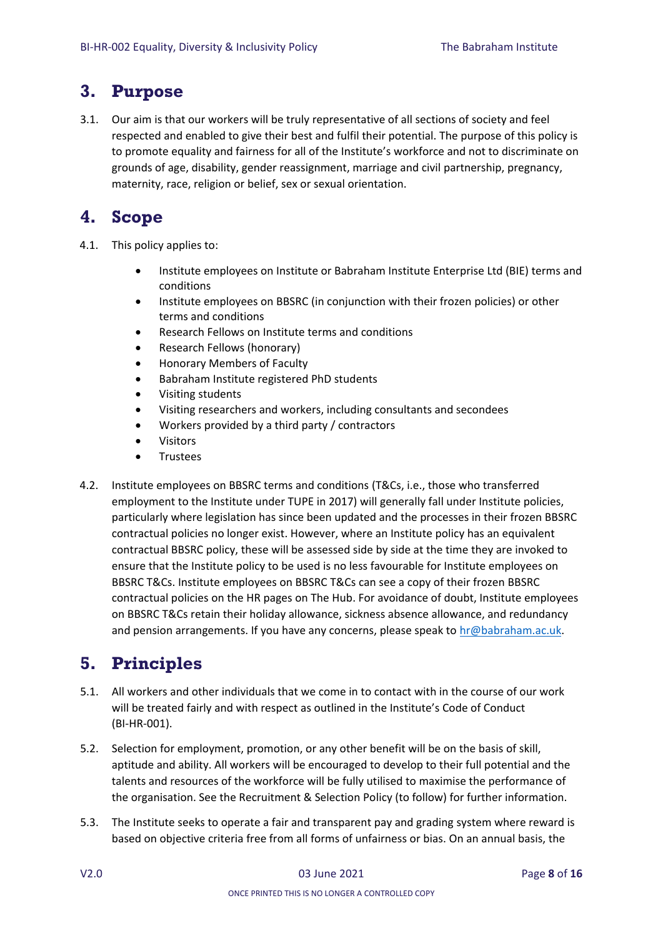## <span id="page-7-0"></span>**3. Purpose**

3.1. Our aim is that our workers will be truly representative of all sections of society and feel respected and enabled to give their best and fulfil their potential. The purpose of this policy is to promote equality and fairness for all of the Institute's workforce and not to discriminate on grounds of age, disability, gender reassignment, marriage and civil partnership, pregnancy, maternity, race, religion or belief, sex or sexual orientation.

## <span id="page-7-1"></span>**4. Scope**

- 4.1. This policy applies to:
	- Institute employees on Institute or Babraham Institute Enterprise Ltd (BIE) terms and conditions
	- Institute employees on BBSRC (in conjunction with their frozen policies) or other terms and conditions
	- Research Fellows on Institute terms and conditions
	- Research Fellows (honorary)
	- Honorary Members of Faculty
	- Babraham Institute registered PhD students
	- Visiting students
	- Visiting researchers and workers, including consultants and secondees
	- Workers provided by a third party / contractors
	- Visitors
	- **•** Trustees
- 4.2. Institute employees on BBSRC terms and conditions (T&Cs, i.e., those who transferred employment to the Institute under TUPE in 2017) will generally fall under Institute policies, particularly where legislation has since been updated and the processes in their frozen BBSRC contractual policies no longer exist. However, where an Institute policy has an equivalent contractual BBSRC policy, these will be assessed side by side at the time they are invoked to ensure that the Institute policy to be used is no less favourable for Institute employees on BBSRC T&Cs. Institute employees on BBSRC T&Cs can see a copy of their frozen BBSRC contractual policies on the HR pages on The Hub. For avoidance of doubt, Institute employees on BBSRC T&Cs retain their holiday allowance, sickness absence allowance, and redundancy and pension arrangements. If you have any concerns, please speak to [hr@babraham.ac.uk.](mailto:hr@babraham.ac.uk)

# <span id="page-7-2"></span>**5. Principles**

- 5.1. All workers and other individuals that we come in to contact with in the course of our work will be treated fairly and with respect as outlined in the Institute's Code of Conduct (BI-HR-001).
- 5.2. Selection for employment, promotion, or any other benefit will be on the basis of skill, aptitude and ability. All workers will be encouraged to develop to their full potential and the talents and resources of the workforce will be fully utilised to maximise the performance of the organisation. See the Recruitment & Selection Policy (to follow) for further information.
- 5.3. The Institute seeks to operate a fair and transparent pay and grading system where reward is based on objective criteria free from all forms of unfairness or bias. On an annual basis, the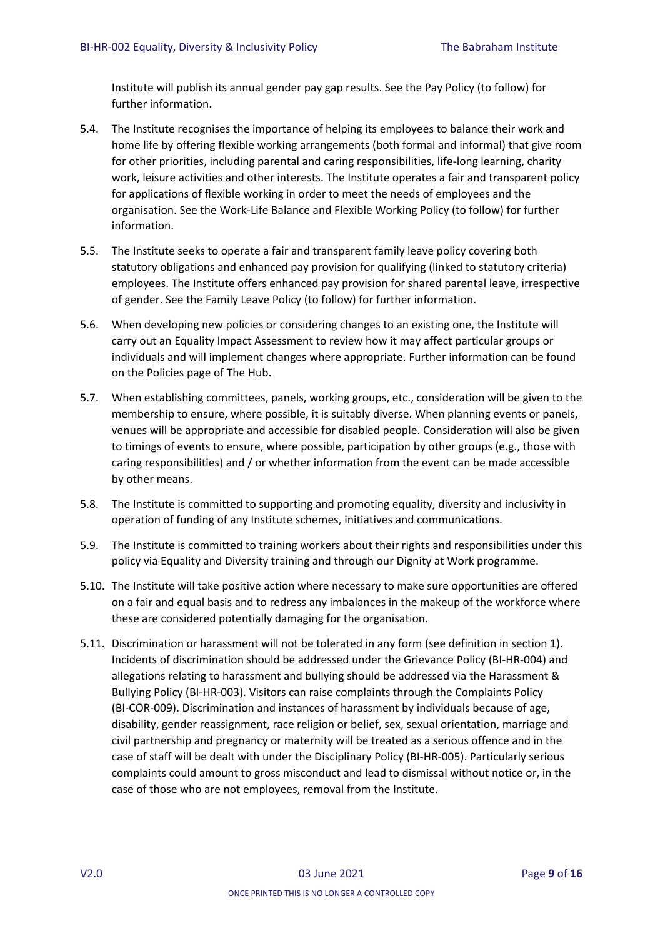Institute will publish its annual gender pay gap results. See the Pay Policy (to follow) for further information.

- 5.4. The Institute recognises the importance of helping its employees to balance their work and home life by offering flexible working arrangements (both formal and informal) that give room for other priorities, including parental and caring responsibilities, life-long learning, charity work, leisure activities and other interests. The Institute operates a fair and transparent policy for applications of flexible working in order to meet the needs of employees and the organisation. See the Work-Life Balance and Flexible Working Policy (to follow) for further information.
- 5.5. The Institute seeks to operate a fair and transparent family leave policy covering both statutory obligations and enhanced pay provision for qualifying (linked to statutory criteria) employees. The Institute offers enhanced pay provision for shared parental leave, irrespective of gender. See the Family Leave Policy (to follow) for further information.
- 5.6. When developing new policies or considering changes to an existing one, the Institute will carry out an Equality Impact Assessment to review how it may affect particular groups or individuals and will implement changes where appropriate. Further information can be found on the Policies page of The Hub.
- 5.7. When establishing committees, panels, working groups, etc., consideration will be given to the membership to ensure, where possible, it is suitably diverse. When planning events or panels, venues will be appropriate and accessible for disabled people. Consideration will also be given to timings of events to ensure, where possible, participation by other groups (e.g., those with caring responsibilities) and / or whether information from the event can be made accessible by other means.
- 5.8. The Institute is committed to supporting and promoting equality, diversity and inclusivity in operation of funding of any Institute schemes, initiatives and communications.
- 5.9. The Institute is committed to training workers about their rights and responsibilities under this policy via Equality and Diversity training and through our Dignity at Work programme.
- 5.10. The Institute will take positive action where necessary to make sure opportunities are offered on a fair and equal basis and to redress any imbalances in the makeup of the workforce where these are considered potentially damaging for the organisation.
- 5.11. Discrimination or harassment will not be tolerated in any form (see definition in section 1). Incidents of discrimination should be addressed under the Grievance Policy (BI-HR-004) and allegations relating to harassment and bullying should be addressed via the Harassment & Bullying Policy (BI-HR-003). Visitors can raise complaints through the Complaints Policy (BI-COR-009). Discrimination and instances of harassment by individuals because of age, disability, gender reassignment, race religion or belief, sex, sexual orientation, marriage and civil partnership and pregnancy or maternity will be treated as a serious offence and in the case of staff will be dealt with under the Disciplinary Policy (BI-HR-005). Particularly serious complaints could amount to gross misconduct and lead to dismissal without notice or, in the case of those who are not employees, removal from the Institute.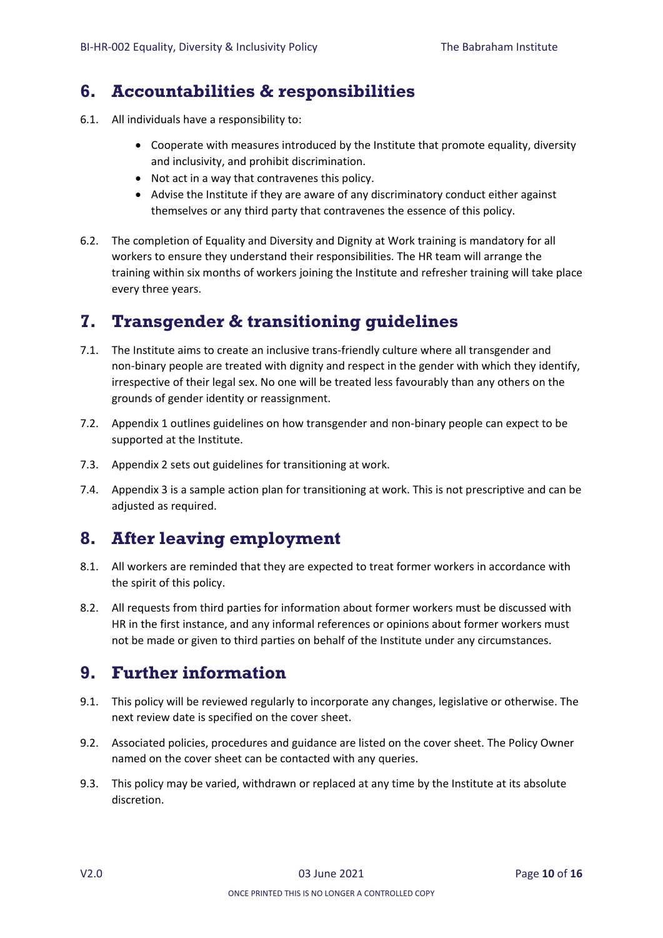## <span id="page-9-0"></span>**6. Accountabilities & responsibilities**

- 6.1. All individuals have a responsibility to:
	- Cooperate with measures introduced by the Institute that promote equality, diversity and inclusivity, and prohibit discrimination.
	- Not act in a way that contravenes this policy.
	- Advise the Institute if they are aware of any discriminatory conduct either against themselves or any third party that contravenes the essence of this policy.
- 6.2. The completion of Equality and Diversity and Dignity at Work training is mandatory for all workers to ensure they understand their responsibilities. The HR team will arrange the training within six months of workers joining the Institute and refresher training will take place every three years.

## <span id="page-9-1"></span>**7. Transgender & transitioning guidelines**

- 7.1. The Institute aims to create an inclusive trans-friendly culture where all transgender and non-binary people are treated with dignity and respect in the gender with which they identify, irrespective of their legal sex. No one will be treated less favourably than any others on the grounds of gender identity or reassignment.
- 7.2. Appendix 1 outlines guidelines on how transgender and non-binary people can expect to be supported at the Institute.
- 7.3. Appendix 2 sets out guidelines for transitioning at work.
- 7.4. Appendix 3 is a sample action plan for transitioning at work. This is not prescriptive and can be adjusted as required.

## <span id="page-9-2"></span>**8. After leaving employment**

- 8.1. All workers are reminded that they are expected to treat former workers in accordance with the spirit of this policy.
- 8.2. All requests from third parties for information about former workers must be discussed with HR in the first instance, and any informal references or opinions about former workers must not be made or given to third parties on behalf of the Institute under any circumstances.

## <span id="page-9-3"></span>**9. Further information**

- 9.1. This policy will be reviewed regularly to incorporate any changes, legislative or otherwise. The next review date is specified on the cover sheet.
- 9.2. Associated policies, procedures and guidance are listed on the cover sheet. The Policy Owner named on the cover sheet can be contacted with any queries.
- 9.3. This policy may be varied, withdrawn or replaced at any time by the Institute at its absolute discretion.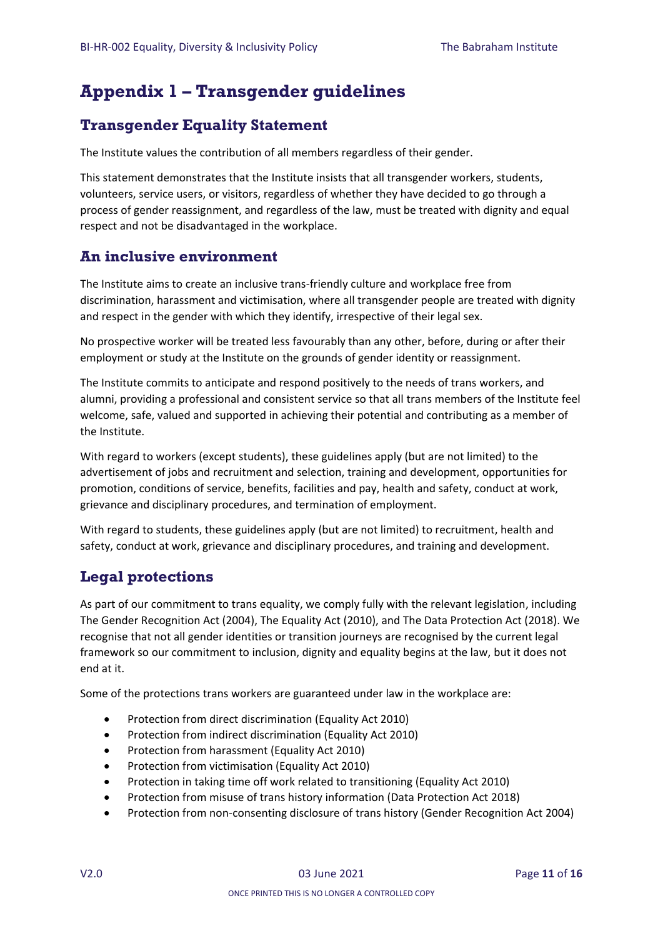# <span id="page-10-0"></span>**Appendix 1 – Transgender guidelines**

## <span id="page-10-1"></span>**Transgender Equality Statement**

The Institute values the contribution of all members regardless of their gender.

This statement demonstrates that the Institute insists that all transgender workers, students, volunteers, service users, or visitors, regardless of whether they have decided to go through a process of gender reassignment, and regardless of the law, must be treated with dignity and equal respect and not be disadvantaged in the workplace.

### <span id="page-10-2"></span>**An inclusive environment**

The Institute aims to create an inclusive trans-friendly culture and workplace free from discrimination, harassment and victimisation, where all transgender people are treated with dignity and respect in the gender with which they identify, irrespective of their legal sex.

No prospective worker will be treated less favourably than any other, before, during or after their employment or study at the Institute on the grounds of gender identity or reassignment.

The Institute commits to anticipate and respond positively to the needs of trans workers, and alumni, providing a professional and consistent service so that all trans members of the Institute feel welcome, safe, valued and supported in achieving their potential and contributing as a member of the Institute.

With regard to workers (except students), these guidelines apply (but are not limited) to the advertisement of jobs and recruitment and selection, training and development, opportunities for promotion, conditions of service, benefits, facilities and pay, health and safety, conduct at work, grievance and disciplinary procedures, and termination of employment.

With regard to students, these guidelines apply (but are not limited) to recruitment, health and safety, conduct at work, grievance and disciplinary procedures, and training and development.

## <span id="page-10-3"></span>**Legal protections**

As part of our commitment to trans equality, we comply fully with the relevant legislation, including The Gender Recognition Act (2004), The Equality Act (2010), and The Data Protection Act (2018). We recognise that not all gender identities or transition journeys are recognised by the current legal framework so our commitment to inclusion, dignity and equality begins at the law, but it does not end at it.

Some of the protections trans workers are guaranteed under law in the workplace are:

- Protection from direct discrimination (Equality Act 2010)
- Protection from indirect discrimination (Equality Act 2010)
- Protection from harassment (Equality Act 2010)
- Protection from victimisation (Equality Act 2010)
- Protection in taking time off work related to transitioning (Equality Act 2010)
- Protection from misuse of trans history information (Data Protection Act 2018)
- Protection from non-consenting disclosure of trans history (Gender Recognition Act 2004)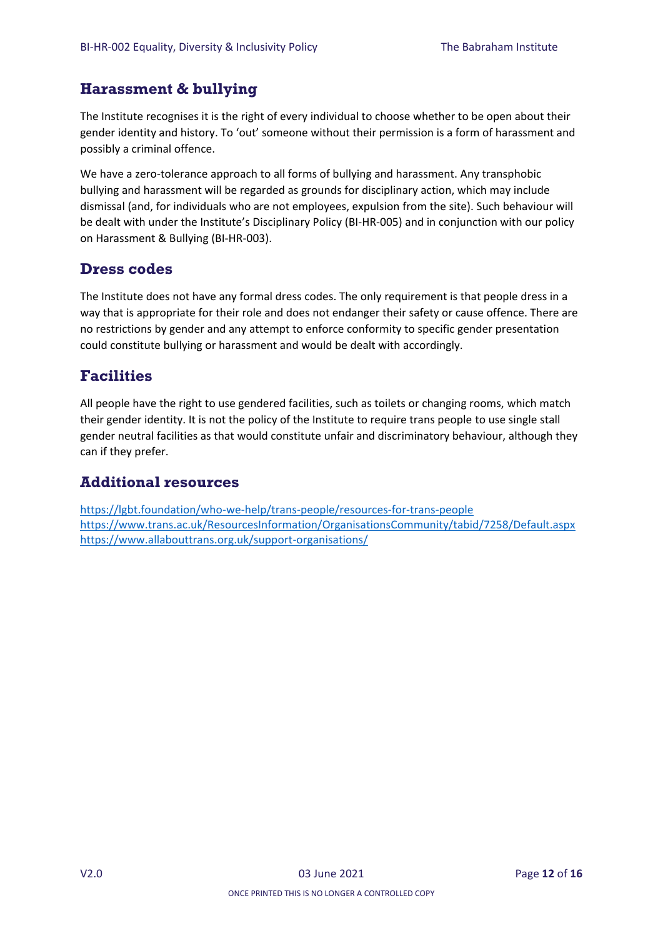## <span id="page-11-0"></span>**Harassment & bullying**

The Institute recognises it is the right of every individual to choose whether to be open about their gender identity and history. To 'out' someone without their permission is a form of harassment and possibly a criminal offence.

We have a zero-tolerance approach to all forms of bullying and harassment. Any transphobic bullying and harassment will be regarded as grounds for disciplinary action, which may include dismissal (and, for individuals who are not employees, expulsion from the site). Such behaviour will be dealt with under the Institute's Disciplinary Policy (BI-HR-005) and in conjunction with our policy on Harassment & Bullying (BI-HR-003).

### <span id="page-11-1"></span>**Dress codes**

The Institute does not have any formal dress codes. The only requirement is that people dress in a way that is appropriate for their role and does not endanger their safety or cause offence. There are no restrictions by gender and any attempt to enforce conformity to specific gender presentation could constitute bullying or harassment and would be dealt with accordingly.

## <span id="page-11-2"></span>**Facilities**

All people have the right to use gendered facilities, such as toilets or changing rooms, which match their gender identity. It is not the policy of the Institute to require trans people to use single stall gender neutral facilities as that would constitute unfair and discriminatory behaviour, although they can if they prefer.

## <span id="page-11-3"></span>**Additional resources**

<https://lgbt.foundation/who-we-help/trans-people/resources-for-trans-people> <https://www.trans.ac.uk/ResourcesInformation/OrganisationsCommunity/tabid/7258/Default.aspx> <https://www.allabouttrans.org.uk/support-organisations/>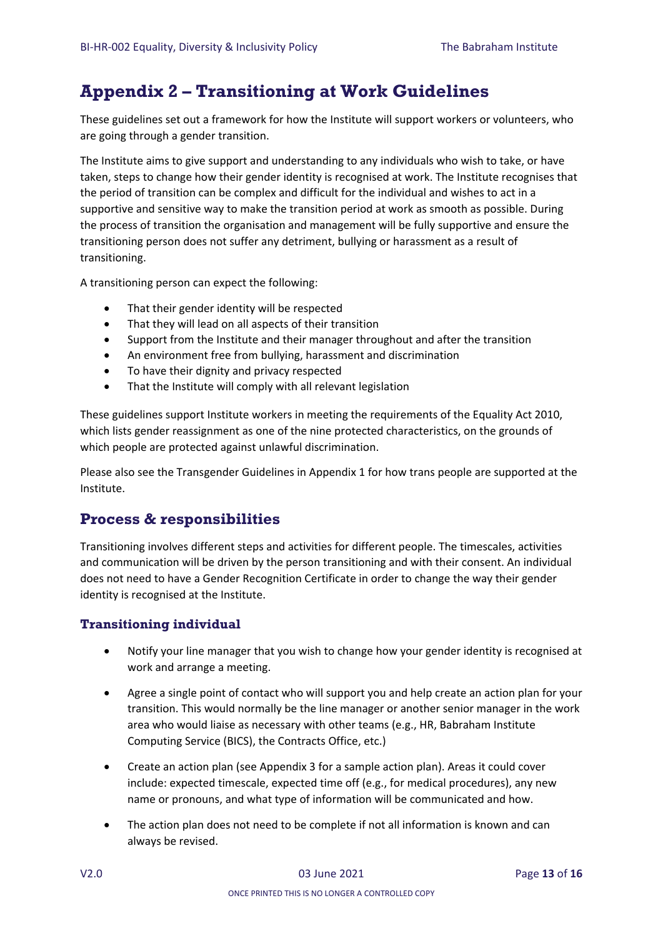# <span id="page-12-0"></span>**Appendix 2 – Transitioning at Work Guidelines**

These guidelines set out a framework for how the Institute will support workers or volunteers, who are going through a gender transition.

The Institute aims to give support and understanding to any individuals who wish to take, or have taken, steps to change how their gender identity is recognised at work. The Institute recognises that the period of transition can be complex and difficult for the individual and wishes to act in a supportive and sensitive way to make the transition period at work as smooth as possible. During the process of transition the organisation and management will be fully supportive and ensure the transitioning person does not suffer any detriment, bullying or harassment as a result of transitioning.

A transitioning person can expect the following:

- That their gender identity will be respected
- That they will lead on all aspects of their transition
- Support from the Institute and their manager throughout and after the transition
- An environment free from bullying, harassment and discrimination
- To have their dignity and privacy respected
- That the Institute will comply with all relevant legislation

These guidelines support Institute workers in meeting the requirements of the Equality Act 2010, which lists gender reassignment as one of the nine protected characteristics, on the grounds of which people are protected against unlawful discrimination.

Please also see the Transgender Guidelines in Appendix 1 for how trans people are supported at the Institute.

## <span id="page-12-1"></span>**Process & responsibilities**

Transitioning involves different steps and activities for different people. The timescales, activities and communication will be driven by the person transitioning and with their consent. An individual does not need to have a Gender Recognition Certificate in order to change the way their gender identity is recognised at the Institute.

### <span id="page-12-2"></span>**Transitioning individual**

- Notify your line manager that you wish to change how your gender identity is recognised at work and arrange a meeting.
- Agree a single point of contact who will support you and help create an action plan for your transition. This would normally be the line manager or another senior manager in the work area who would liaise as necessary with other teams (e.g., HR, Babraham Institute Computing Service (BICS), the Contracts Office, etc.)
- Create an action plan (see Appendix 3 for a sample action plan). Areas it could cover include: expected timescale, expected time off (e.g., for medical procedures), any new name or pronouns, and what type of information will be communicated and how.
- The action plan does not need to be complete if not all information is known and can always be revised.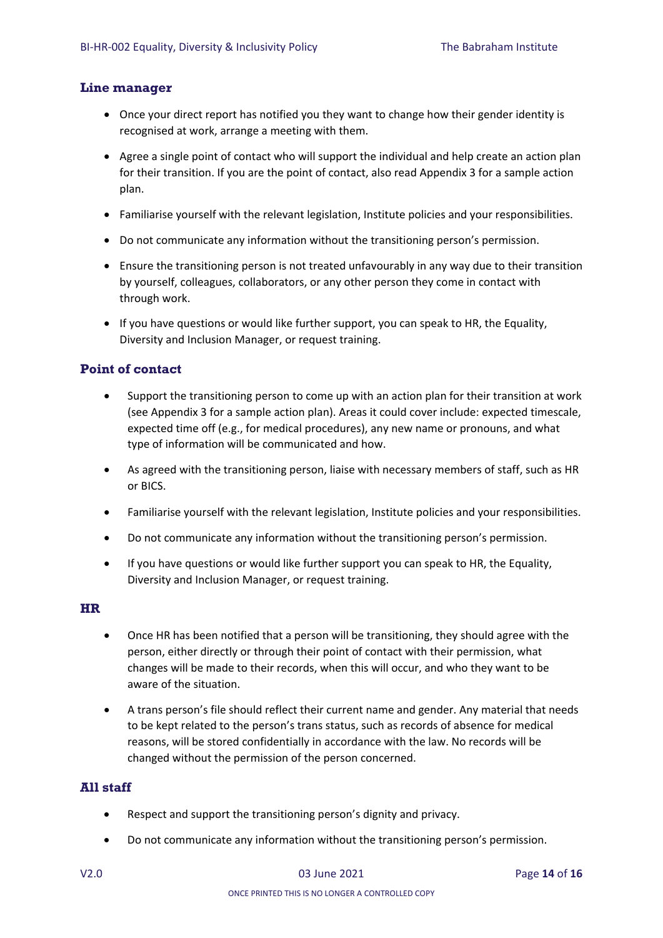#### <span id="page-13-0"></span>**Line manager**

- Once your direct report has notified you they want to change how their gender identity is recognised at work, arrange a meeting with them.
- Agree a single point of contact who will support the individual and help create an action plan for their transition. If you are the point of contact, also read Appendix 3 for a sample action plan.
- Familiarise yourself with the relevant legislation, Institute policies and your responsibilities.
- Do not communicate any information without the transitioning person's permission.
- Ensure the transitioning person is not treated unfavourably in any way due to their transition by yourself, colleagues, collaborators, or any other person they come in contact with through work.
- If you have questions or would like further support, you can speak to HR, the Equality, Diversity and Inclusion Manager, or request training.

#### <span id="page-13-1"></span>**Point of contact**

- Support the transitioning person to come up with an action plan for their transition at work (see Appendix 3 for a sample action plan). Areas it could cover include: expected timescale, expected time off (e.g., for medical procedures), any new name or pronouns, and what type of information will be communicated and how.
- As agreed with the transitioning person, liaise with necessary members of staff, such as HR or BICS.
- Familiarise yourself with the relevant legislation, Institute policies and your responsibilities.
- Do not communicate any information without the transitioning person's permission.
- If you have questions or would like further support you can speak to HR, the Equality, Diversity and Inclusion Manager, or request training.

#### <span id="page-13-2"></span>**HR**

- Once HR has been notified that a person will be transitioning, they should agree with the person, either directly or through their point of contact with their permission, what changes will be made to their records, when this will occur, and who they want to be aware of the situation.
- A trans person's file should reflect their current name and gender. Any material that needs to be kept related to the person's trans status, such as records of absence for medical reasons, will be stored confidentially in accordance with the law. No records will be changed without the permission of the person concerned.

#### <span id="page-13-3"></span>**All staff**

- Respect and support the transitioning person's dignity and privacy.
- Do not communicate any information without the transitioning person's permission.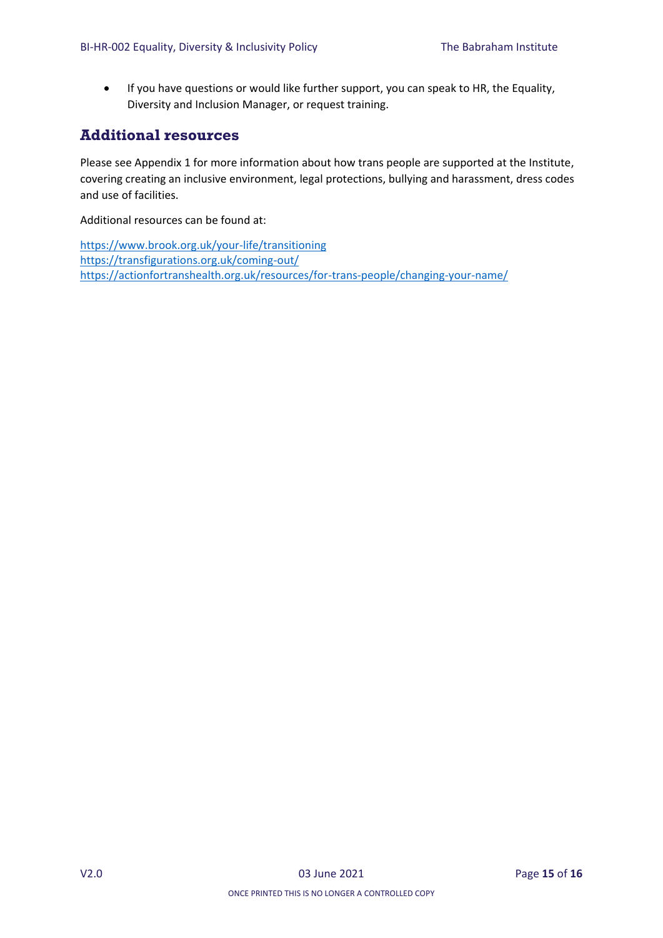If you have questions or would like further support, you can speak to HR, the Equality, Diversity and Inclusion Manager, or request training.

### <span id="page-14-0"></span>**Additional resources**

Please see Appendix 1 for more information about how trans people are supported at the Institute, covering creating an inclusive environment, legal protections, bullying and harassment, dress codes and use of facilities.

Additional resources can be found at:

<https://www.brook.org.uk/your-life/transitioning> <https://transfigurations.org.uk/coming-out/> <https://actionfortranshealth.org.uk/resources/for-trans-people/changing-your-name/>